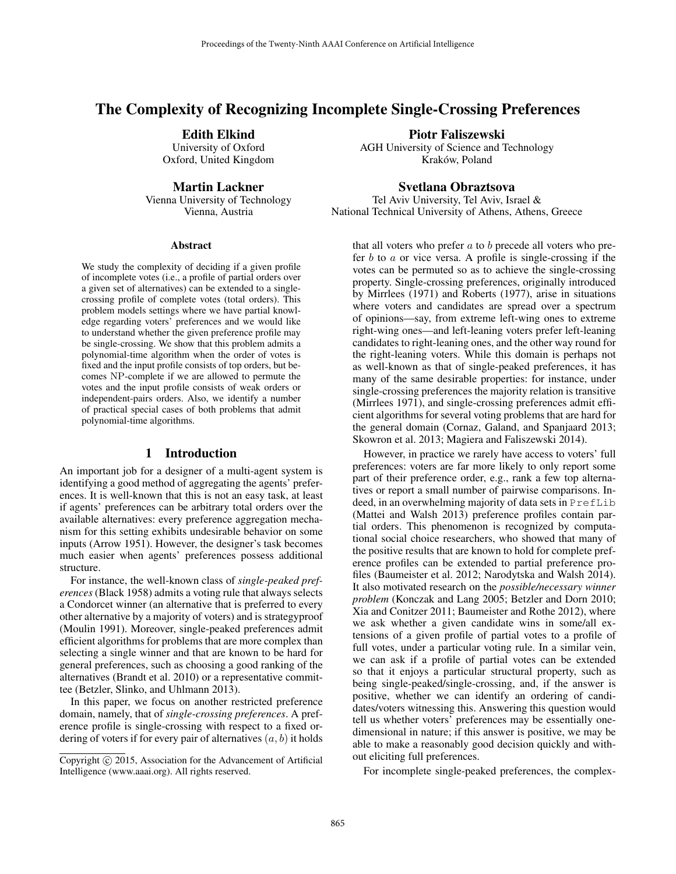# The Complexity of Recognizing Incomplete Single-Crossing Preferences

Edith Elkind University of Oxford

Oxford, United Kingdom

Martin Lackner

Vienna University of Technology Vienna, Austria

#### Abstract

We study the complexity of deciding if a given profile of incomplete votes (i.e., a profile of partial orders over a given set of alternatives) can be extended to a singlecrossing profile of complete votes (total orders). This problem models settings where we have partial knowledge regarding voters' preferences and we would like to understand whether the given preference profile may be single-crossing. We show that this problem admits a polynomial-time algorithm when the order of votes is fixed and the input profile consists of top orders, but becomes NP-complete if we are allowed to permute the votes and the input profile consists of weak orders or independent-pairs orders. Also, we identify a number of practical special cases of both problems that admit polynomial-time algorithms.

### 1 Introduction

An important job for a designer of a multi-agent system is identifying a good method of aggregating the agents' preferences. It is well-known that this is not an easy task, at least if agents' preferences can be arbitrary total orders over the available alternatives: every preference aggregation mechanism for this setting exhibits undesirable behavior on some inputs (Arrow 1951). However, the designer's task becomes much easier when agents' preferences possess additional structure.

For instance, the well-known class of *single-peaked preferences* (Black 1958) admits a voting rule that always selects a Condorcet winner (an alternative that is preferred to every other alternative by a majority of voters) and is strategyproof (Moulin 1991). Moreover, single-peaked preferences admit efficient algorithms for problems that are more complex than selecting a single winner and that are known to be hard for general preferences, such as choosing a good ranking of the alternatives (Brandt et al. 2010) or a representative committee (Betzler, Slinko, and Uhlmann 2013).

In this paper, we focus on another restricted preference domain, namely, that of *single-crossing preferences*. A preference profile is single-crossing with respect to a fixed ordering of voters if for every pair of alternatives  $(a, b)$  it holds Piotr Faliszewski

AGH University of Science and Technology Kraków, Poland

Svetlana Obraztsova Tel Aviv University, Tel Aviv, Israel &

National Technical University of Athens, Athens, Greece

that all voters who prefer  $a$  to  $b$  precede all voters who prefer  $b$  to  $a$  or vice versa. A profile is single-crossing if the votes can be permuted so as to achieve the single-crossing property. Single-crossing preferences, originally introduced by Mirrlees (1971) and Roberts (1977), arise in situations where voters and candidates are spread over a spectrum of opinions—say, from extreme left-wing ones to extreme right-wing ones—and left-leaning voters prefer left-leaning candidates to right-leaning ones, and the other way round for the right-leaning voters. While this domain is perhaps not as well-known as that of single-peaked preferences, it has many of the same desirable properties: for instance, under single-crossing preferences the majority relation is transitive (Mirrlees 1971), and single-crossing preferences admit efficient algorithms for several voting problems that are hard for the general domain (Cornaz, Galand, and Spanjaard 2013; Skowron et al. 2013; Magiera and Faliszewski 2014).

However, in practice we rarely have access to voters' full preferences: voters are far more likely to only report some part of their preference order, e.g., rank a few top alternatives or report a small number of pairwise comparisons. Indeed, in an overwhelming majority of data sets in PrefLib (Mattei and Walsh 2013) preference profiles contain partial orders. This phenomenon is recognized by computational social choice researchers, who showed that many of the positive results that are known to hold for complete preference profiles can be extended to partial preference profiles (Baumeister et al. 2012; Narodytska and Walsh 2014). It also motivated research on the *possible/necessary winner problem* (Konczak and Lang 2005; Betzler and Dorn 2010; Xia and Conitzer 2011; Baumeister and Rothe 2012), where we ask whether a given candidate wins in some/all extensions of a given profile of partial votes to a profile of full votes, under a particular voting rule. In a similar vein, we can ask if a profile of partial votes can be extended so that it enjoys a particular structural property, such as being single-peaked/single-crossing, and, if the answer is positive, whether we can identify an ordering of candidates/voters witnessing this. Answering this question would tell us whether voters' preferences may be essentially onedimensional in nature; if this answer is positive, we may be able to make a reasonably good decision quickly and without eliciting full preferences.

For incomplete single-peaked preferences, the complex-

Copyright  $\odot$  2015, Association for the Advancement of Artificial Intelligence (www.aaai.org). All rights reserved.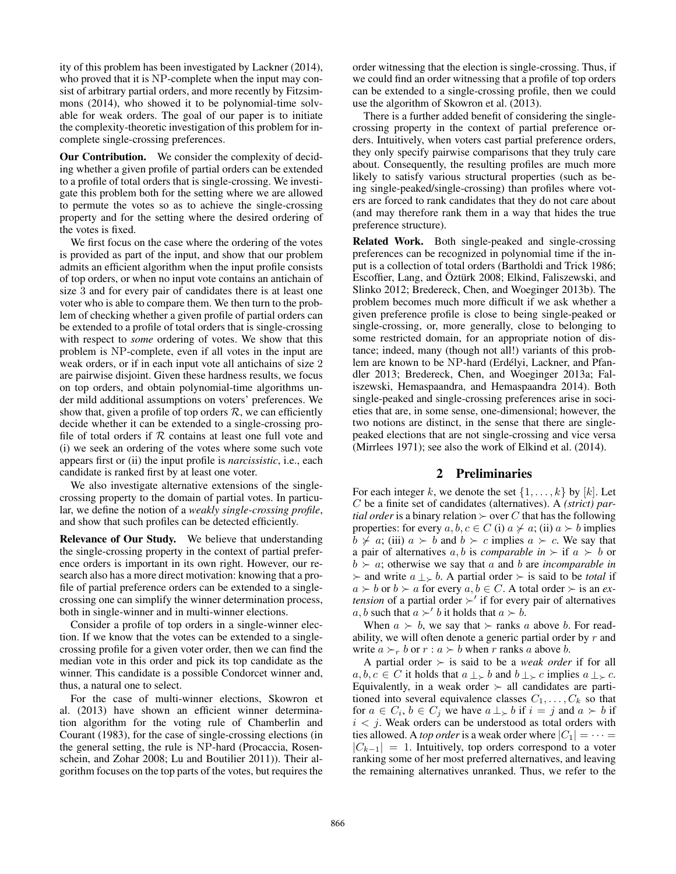ity of this problem has been investigated by Lackner (2014), who proved that it is NP-complete when the input may consist of arbitrary partial orders, and more recently by Fitzsimmons (2014), who showed it to be polynomial-time solvable for weak orders. The goal of our paper is to initiate the complexity-theoretic investigation of this problem for incomplete single-crossing preferences.

Our Contribution. We consider the complexity of deciding whether a given profile of partial orders can be extended to a profile of total orders that is single-crossing. We investigate this problem both for the setting where we are allowed to permute the votes so as to achieve the single-crossing property and for the setting where the desired ordering of the votes is fixed.

We first focus on the case where the ordering of the votes is provided as part of the input, and show that our problem admits an efficient algorithm when the input profile consists of top orders, or when no input vote contains an antichain of size 3 and for every pair of candidates there is at least one voter who is able to compare them. We then turn to the problem of checking whether a given profile of partial orders can be extended to a profile of total orders that is single-crossing with respect to *some* ordering of votes. We show that this problem is NP-complete, even if all votes in the input are weak orders, or if in each input vote all antichains of size 2 are pairwise disjoint. Given these hardness results, we focus on top orders, and obtain polynomial-time algorithms under mild additional assumptions on voters' preferences. We show that, given a profile of top orders  $R$ , we can efficiently decide whether it can be extended to a single-crossing profile of total orders if  $R$  contains at least one full vote and (i) we seek an ordering of the votes where some such vote appears first or (ii) the input profile is *narcissistic*, i.e., each candidate is ranked first by at least one voter.

We also investigate alternative extensions of the singlecrossing property to the domain of partial votes. In particular, we define the notion of a *weakly single-crossing profile*, and show that such profiles can be detected efficiently.

Relevance of Our Study. We believe that understanding the single-crossing property in the context of partial preference orders is important in its own right. However, our research also has a more direct motivation: knowing that a profile of partial preference orders can be extended to a singlecrossing one can simplify the winner determination process, both in single-winner and in multi-winner elections.

Consider a profile of top orders in a single-winner election. If we know that the votes can be extended to a singlecrossing profile for a given voter order, then we can find the median vote in this order and pick its top candidate as the winner. This candidate is a possible Condorcet winner and, thus, a natural one to select.

For the case of multi-winner elections, Skowron et al. (2013) have shown an efficient winner determination algorithm for the voting rule of Chamberlin and Courant (1983), for the case of single-crossing elections (in the general setting, the rule is NP-hard (Procaccia, Rosenschein, and Zohar 2008; Lu and Boutilier 2011)). Their algorithm focuses on the top parts of the votes, but requires the

order witnessing that the election is single-crossing. Thus, if we could find an order witnessing that a profile of top orders can be extended to a single-crossing profile, then we could use the algorithm of Skowron et al. (2013).

There is a further added benefit of considering the singlecrossing property in the context of partial preference orders. Intuitively, when voters cast partial preference orders, they only specify pairwise comparisons that they truly care about. Consequently, the resulting profiles are much more likely to satisfy various structural properties (such as being single-peaked/single-crossing) than profiles where voters are forced to rank candidates that they do not care about (and may therefore rank them in a way that hides the true preference structure).

Related Work. Both single-peaked and single-crossing preferences can be recognized in polynomial time if the input is a collection of total orders (Bartholdi and Trick 1986; Escoffier, Lang, and Öztürk 2008; Elkind, Faliszewski, and Slinko 2012; Bredereck, Chen, and Woeginger 2013b). The problem becomes much more difficult if we ask whether a given preference profile is close to being single-peaked or single-crossing, or, more generally, close to belonging to some restricted domain, for an appropriate notion of distance; indeed, many (though not all!) variants of this problem are known to be NP-hard (Erdélyi, Lackner, and Pfandler 2013; Bredereck, Chen, and Woeginger 2013a; Faliszewski, Hemaspaandra, and Hemaspaandra 2014). Both single-peaked and single-crossing preferences arise in societies that are, in some sense, one-dimensional; however, the two notions are distinct, in the sense that there are singlepeaked elections that are not single-crossing and vice versa (Mirrlees 1971); see also the work of Elkind et al. (2014).

### 2 Preliminaries

For each integer k, we denote the set  $\{1, \ldots, k\}$  by  $[k]$ . Let C be a finite set of candidates (alternatives). A *(strict) partial order* is a binary relation  $\succ$  over C that has the following properties: for every  $a, b, c \in C$  (i)  $a \not\succ a$ ; (ii)  $a \succ b$  implies  $b \nsucc a$ ; (iii)  $a \succ b$  and  $b \succ c$  implies  $a \succ c$ . We say that a pair of alternatives a, b is *comparable in*  $\succ$  if a  $\succ$  b or  $b \succ a$ ; otherwise we say that a and b are *incomparable in*  $\succ$  and write  $a \perp \searrow b$ . A partial order  $\succ$  is said to be *total* if  $a \succ b$  or  $b \succ a$  for every  $a, b \in C$ . A total order  $\succ$  is an *extension* of a partial order  $\succ'$  if for every pair of alternatives  $a, b$  such that  $a \succ' b$  it holds that  $a \succ b$ .

When  $a \succ b$ , we say that  $\succ$  ranks a above b. For readability, we will often denote a generic partial order by  $r$  and write  $a \succ_r b$  or  $r : a \succ b$  when r ranks a above b.

A partial order  $\succ$  is said to be a *weak order* if for all  $a, b, c \in C$  it holds that  $a \perp b$  and  $b \perp c$  implies  $a \perp c$ . Equivalently, in a weak order  $\succ$  all candidates are partitioned into several equivalence classes  $C_1, \ldots, C_k$  so that for  $a \in C_i$ ,  $b \in C_j$  we have  $a \perp_b b$  if  $i = j$  and  $a \succ b$  if  $i < j$ . Weak orders can be understood as total orders with ties allowed. A *top order* is a weak order where  $|C_1| = \cdots =$  $|C_{k-1}| = 1$ . Intuitively, top orders correspond to a voter ranking some of her most preferred alternatives, and leaving the remaining alternatives unranked. Thus, we refer to the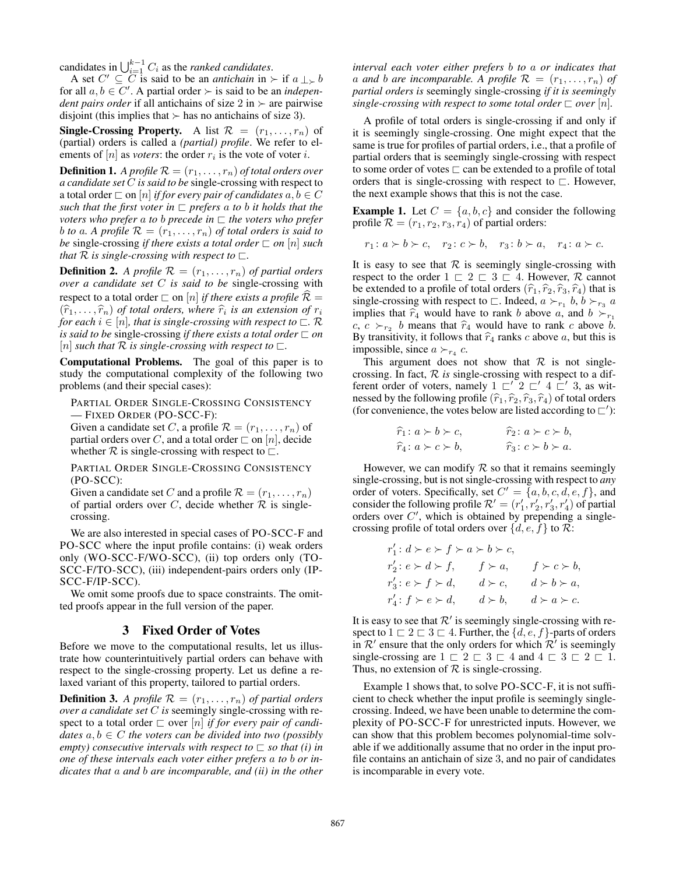candidates in  $\bigcup_{i=1}^{k-1} C_i$  as the *ranked candidates*.

A set  $C' \subseteq \overline{C}$  is said to be an *antichain* in  $\succ$  if  $a \perp \swarrow b$ for all  $a, b \in C'$ . A partial order  $\succ$  is said to be an *independent pairs order* if all antichains of size  $2 \text{ in } \succ \text{ are pairwise}$ disjoint (this implies that  $\succ$  has no antichains of size 3).

**Single-Crossing Property.** A list  $\mathcal{R} = (r_1, \ldots, r_n)$  of (partial) orders is called a *(partial) profile*. We refer to elements of  $[n]$  as *voters*: the order  $r_i$  is the vote of voter i.

**Definition 1.** *A profile*  $\mathcal{R} = (r_1, \ldots, r_n)$  *of total orders over a candidate set* C *is said to be* single-crossing with respect to a total order  $\Box$  on  $[n]$  *if for every pair of candidates*  $a, b \in C$ *such that the first voter in*  $\Box$  *prefers* a *to b it holds that the voters who prefer a to b precede in*  $\sqsubset$  *the voters who prefer b to a*. A profile  $\mathcal{R} = (r_1, \ldots, r_n)$  *of total orders is said to be* single-crossing *if there exists a total order*  $\Box$  *on*  $[n]$  *such that*  $\mathcal R$  *is single-crossing with respect to*  $\sqsubset$ .

**Definition 2.** *A profile*  $\mathcal{R} = (r_1, \ldots, r_n)$  *of partial orders over a candidate set* C *is said to be* single-crossing with respect to a total order  $\Box$  on [n] *if there exists a profile*  $\hat{\mathcal{R}} =$  $(\widehat{r}_1, \ldots, \widehat{r}_n)$  of total orders, where  $\widehat{r}_i$  is an extension of  $r_i$ <br>for each  $i \in [n]$  that is single-crossing with respect to  $\Box$  R *for each*  $i \in [n]$ *, that is single-crossing with respect to*  $\subset \mathcal{R}$ *is said to be single-crossing if there exists a total order*  $\Box$  *on* [n] *such that*  $\mathcal R$  *is single-crossing with respect to*  $\sqsubset$ .

Computational Problems. The goal of this paper is to study the computational complexity of the following two problems (and their special cases):

PARTIAL ORDER SINGLE-CROSSING CONSISTENCY — FIXED ORDER (PO-SCC-F):

Given a candidate set C, a profile  $\mathcal{R} = (r_1, \ldots, r_n)$  of partial orders over C, and a total order  $\Box$  on [n], decide whether  $R$  is single-crossing with respect to  $\Box$ .

PARTIAL ORDER SINGLE-CROSSING CONSISTENCY (PO-SCC):

Given a candidate set C and a profile  $\mathcal{R} = (r_1, \ldots, r_n)$ of partial orders over C, decide whether  $R$  is singlecrossing.

We are also interested in special cases of PO-SCC-F and PO-SCC where the input profile contains: (i) weak orders only (WO-SCC-F/WO-SCC), (ii) top orders only (TO-SCC-F/TO-SCC), (iii) independent-pairs orders only (IP-SCC-F/IP-SCC).

We omit some proofs due to space constraints. The omitted proofs appear in the full version of the paper.

### 3 Fixed Order of Votes

Before we move to the computational results, let us illustrate how counterintuitively partial orders can behave with respect to the single-crossing property. Let us define a relaxed variant of this property, tailored to partial orders.

**Definition 3.** A profile  $\mathcal{R} = (r_1, \ldots, r_n)$  of partial orders *over a candidate set* C *is* seemingly single-crossing with respect to a total order  $\Box$  over  $[n]$  *if for every pair of candidates*  $a, b \in C$  *the voters can be divided into two (possibly empty) consecutive intervals with respect to*  $\Box$  *so that (i) in one of these intervals each voter either prefers* a *to* b *or indicates that* a *and* b *are incomparable, and (ii) in the other*

*interval each voter either prefers* b *to* a *or indicates that* a and b are incomparable. A profile  $\mathcal{R} = (r_1, \ldots, r_n)$  of *partial orders is* seemingly single-crossing *if it is seemingly single-crossing with respect to some total order*  $\Box$  *over*  $[n]$ *.* 

A profile of total orders is single-crossing if and only if it is seemingly single-crossing. One might expect that the same is true for profiles of partial orders, i.e., that a profile of partial orders that is seemingly single-crossing with respect to some order of votes  $\sqsubset$  can be extended to a profile of total orders that is single-crossing with respect to  $\sqsubset$ . However, the next example shows that this is not the case.

**Example 1.** Let  $C = \{a, b, c\}$  and consider the following profile  $\mathcal{R} = (r_1, r_2, r_3, r_4)$  of partial orders:

$$
r_1: a \succ b \succ c, \quad r_2: c \succ b, \quad r_3: b \succ a, \quad r_4: a \succ c.
$$

It is easy to see that  $\mathcal R$  is seemingly single-crossing with respect to the order  $1 \n\sqsubset 2 \n\sqsubset 3 \n\sqsubset 4$ . However, R cannot be extended to a profile of total orders  $(\hat{r}_1, \hat{r}_2, \hat{r}_3, \hat{r}_4)$  that is single-crossing with respect to  $\Box$ . Indeed,  $a \succ_{r_1} b, b \succ_{r_3} a$ implies that  $\hat{r}_4$  would have to rank b above a, and  $b \succ_{r_1}$ c,  $c >_{r_2} b$  means that  $\hat{r}_4$  would have to rank c above b.<br>By transitivity it follows that  $\hat{r}_4$  ranks c above q but this is By transitivity, it follows that  $\hat{r}_4$  ranks c above a, but this is impossible, since  $a \succ_{r_4} c$ .

This argument does not show that  $R$  is not singlecrossing. In fact, R *is* single-crossing with respect to a different order of voters, namely  $1 \sqsubset' 2 \sqsubset' 4 \sqsubset' 3$ , as witnessed by the following profile  $(\hat{r}_1, \hat{r}_2, \hat{r}_3, \hat{r}_4)$  of total orders (for convenience, the votes below are listed according to  $\sqsubset$ '):

$$
\widehat{r}_1: a \succ b \succ c, \qquad \widehat{r}_2: a \succ c \succ b, \n\widehat{r}_4: a \succ c \succ b, \qquad \widehat{r}_3: c \succ b \succ a.
$$

However, we can modify  $R$  so that it remains seemingly single-crossing, but is not single-crossing with respect to *any* order of voters. Specifically, set  $C' = \{a, b, c, d, e, f\}$ , and consider the following profile  $\mathcal{R}' = (r'_1, r'_2, r'_3, r'_4)$  of partial orders over  $C'$ , which is obtained by prepending a singlecrossing profile of total orders over  $\{d, e, f\}$  to  $\mathcal{R}$ :

$$
\begin{aligned} &r'_1\colon d\succ e\succ f\succ a\succ b\succ c,\\ &r'_2\colon e\succ d\succ f,\qquad f\succ a,\qquad f\succ c\succ b,\\ &r'_3\colon e\succ f\succ d,\qquad d\succ c,\qquad d\succ b\succ a,\\ &r'_4\colon f\succ e\succ d,\qquad d\succ b,\qquad d\succ a\succ c.\end{aligned}
$$

It is easy to see that  $\mathcal{R}'$  is seemingly single-crossing with respect to  $1 \sqsubset 2 \sqsubset 3 \sqsubset 4$ . Further, the  $\{d, e, f\}$ -parts of orders in  $\mathcal{R}'$  ensure that the only orders for which  $\mathcal{R}'$  is seemingly single-crossing are  $1 \n\sqsubset 2 \n\sqsubset 3 \n\sqsubset 4$  and  $4 \n\sqsubset 3 \n\sqsubset 2 \n\sqsubset 1$ . Thus, no extension of  $R$  is single-crossing.

Example 1 shows that, to solve PO-SCC-F, it is not sufficient to check whether the input profile is seemingly singlecrossing. Indeed, we have been unable to determine the complexity of PO-SCC-F for unrestricted inputs. However, we can show that this problem becomes polynomial-time solvable if we additionally assume that no order in the input profile contains an antichain of size 3, and no pair of candidates is incomparable in every vote.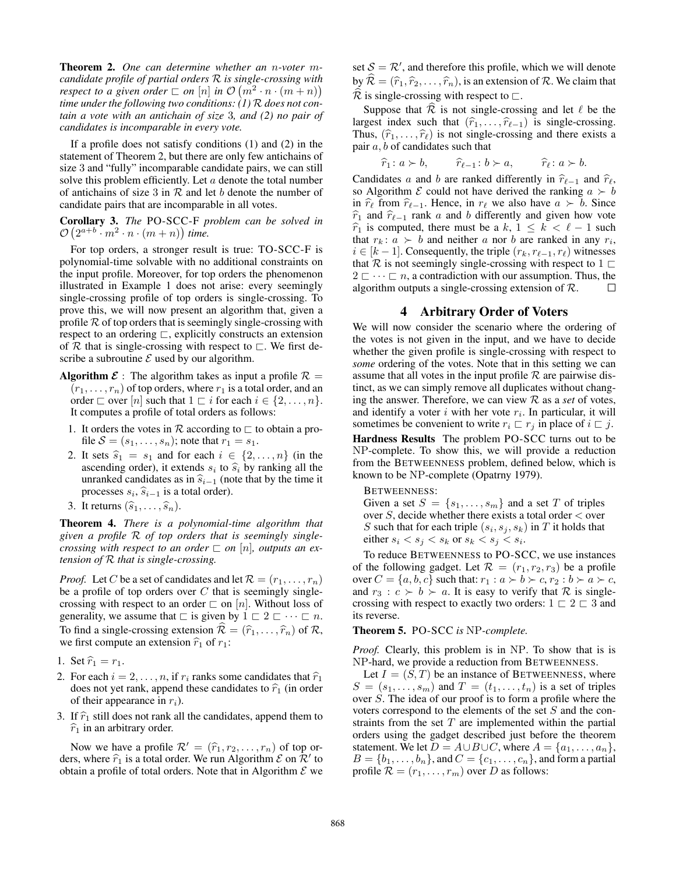Theorem 2. *One can determine whether an* n*-voter* m*candidate profile of partial orders* R *is single-crossing with respect to a given order*  $\Box$  *on*  $[n]$  *in*  $\mathcal{O}(m^2 \cdot n \cdot (m+n))$ *time under the following two conditions: (1)* R *does not contain a vote with an antichain of size* 3*, and (2) no pair of candidates is incomparable in every vote.*

If a profile does not satisfy conditions (1) and (2) in the statement of Theorem 2, but there are only few antichains of size 3 and "fully" incomparable candidate pairs, we can still solve this problem efficiently. Let  $a$  denote the total number of antichains of size 3 in  $R$  and let b denote the number of candidate pairs that are incomparable in all votes.

Corollary 3. *The* PO-SCC-F *problem can be solved in*  $\mathcal{O}\left(2^{a+b} \cdot m^2 \cdot n \cdot (m+n)\right)$  time.

For top orders, a stronger result is true: TO-SCC-F is polynomial-time solvable with no additional constraints on the input profile. Moreover, for top orders the phenomenon illustrated in Example 1 does not arise: every seemingly single-crossing profile of top orders is single-crossing. To prove this, we will now present an algorithm that, given a profile  $R$  of top orders that is seemingly single-crossing with respect to an ordering  $\sqsubset$ , explicitly constructs an extension of  $R$  that is single-crossing with respect to  $\sqsubset$ . We first describe a subroutine  $\mathcal E$  used by our algorithm.

- **Algorithm**  $\mathcal{E}$ : The algorithm takes as input a profile  $\mathcal{R}$  =  $(r_1, \ldots, r_n)$  of top orders, where  $r_1$  is a total order, and an order  $\Box$  over  $[n]$  such that  $1 \Box i$  for each  $i \in \{2, \ldots, n\}.$ It computes a profile of total orders as follows:
	- 1. It orders the votes in  $\mathcal R$  according to  $\sqsubset$  to obtain a profile  $S = (s_1, \ldots, s_n)$ ; note that  $r_1 = s_1$ .
	- 2. It sets  $\hat{s}_1 = s_1$  and for each  $i \in \{2, \ldots, n\}$  (in the ascending order), it extends  $s_i$  to  $\hat{s}_i$  by ranking all the unranked candidates as in  $\hat{s}_{i-1}$  (note that by the time it unranked candidates as in  $\hat{s}_{i-1}$  (note that by the time it processes  $s_i$ ,  $\widehat{s}_{i-1}$  is a total order).<br>It noturing  $(\widehat{s}_i)$
- 3. It returns  $(\widehat{s}_1, \ldots, \widehat{s}_n)$ .

Theorem 4. *There is a polynomial-time algorithm that given a profile* R *of top orders that is seemingly singlecrossing with respect to an order*  $\Box$  *on*  $[n]$ *, outputs an extension of* R *that is single-crossing.*

*Proof.* Let C be a set of candidates and let  $\mathcal{R} = (r_1, \dots, r_n)$ be a profile of top orders over  $C$  that is seemingly singlecrossing with respect to an order  $\Box$  on [n]. Without loss of generality, we assume that  $\sqsubset$  is given by  $1 \sqsubset 2 \sqsubset \cdots \sqsubset n$ . To find a single-crossing extension  $\hat{\mathcal{R}} = (\hat{r}_1, \dots, \hat{r}_n)$  of  $\mathcal{R}$ , we first compute an extension  $\hat{r}_1$  of  $r_1$ :

- 1. Set  $\hat{r}_1 = r_1$ .
- 2. For each  $i = 2, \ldots, n$ , if  $r_i$  ranks some candidates that  $\hat{r}_1$ does not yet rank, append these candidates to  $\hat{r}_1$  (in order of their appearance in  $r_i$ ).
- 3. If  $\hat{r}_1$  still does not rank all the candidates, append them to  $\hat{r}_1$  in an arbitrary order.

Now we have a profile  $\mathcal{R}' = (\hat{r}_1, r_2, \dots, r_n)$  of top orders, where  $\hat{r}_1$  is a total order. We run Algorithm  $\mathcal{E}$  on  $\hat{\mathcal{R}}'$  to obtain a profile of total orders. Note that in Algorithm  $\mathcal{E}$  we obtain a profile of total orders. Note that in Algorithm  $\mathcal E$  we

set  $S = \mathcal{R}'$ , and therefore this profile, which we will denote by  $\widehat{\mathcal{R}} = (\widehat{r}_1, \widehat{r}_2, \ldots, \widehat{r}_n)$ , is an extension of  $\mathcal{R}$ . We claim that  $\widehat{\mathcal{R}}$  is single-crossing with respect to  $\Box$ .

Suppose that  $\overline{\mathcal{R}}$  is not single-crossing and let  $\ell$  be the largest index such that  $(\hat{r}_1, \ldots, \hat{r}_{\ell-1})$  is single-crossing. Thus,  $(\hat{r}_1, \ldots, \hat{r}_\ell)$  is not single-crossing and there exists a pair  $a, b$  of candidates such that

$$
\widehat{r}_1: a \succ b, \qquad \widehat{r}_{\ell-1}: b \succ a, \qquad \widehat{r}_{\ell}: a \succ b.
$$

Candidates a and b are ranked differently in  $\hat{r}_{\ell-1}$  and  $\hat{r}_{\ell}$ , so Algorithm  $\mathcal E$  could not have derived the ranking  $a \succ b$ in  $\hat{r}_\ell$  from  $\hat{r}_{\ell-1}$ . Hence, in  $r_\ell$  we also have  $a \succ b$ . Since  $\hat{r}_1$  and  $\hat{r}_{\ell-1}$  rank a and b differently and given how vote  $\hat{r}_1$  is computed, there must be a k,  $1 \leq k < \ell - 1$  such that  $r_k: a \succ b$  and neither a nor b are ranked in any  $r_i$ ,  $i \in [k-1]$ . Consequently, the triple  $(r_k, r_{\ell-1}, r_\ell)$  witnesses that R is not seemingly single-crossing with respect to  $1 \sqsubset$  $2 \n\t\sqsubset \cdots \sqsubset n$ , a contradiction with our assumption. Thus, the algorithm outputs a single-crossing extension of  $\mathcal{R}$ .  $\Box$ 

#### 4 Arbitrary Order of Voters

We will now consider the scenario where the ordering of the votes is not given in the input, and we have to decide whether the given profile is single-crossing with respect to *some* ordering of the votes. Note that in this setting we can assume that all votes in the input profile  $R$  are pairwise distinct, as we can simply remove all duplicates without changing the answer. Therefore, we can view  $R$  as a *set* of votes, and identify a voter  $i$  with her vote  $r_i$ . In particular, it will sometimes be convenient to write  $r_i \nightharpoonup r_j$  in place of  $i \nightharpoonup j$ . Hardness Results The problem PO-SCC turns out to be NP-complete. To show this, we will provide a reduction from the BETWEENNESS problem, defined below, which is known to be NP-complete (Opatrny 1979).

BETWEENNESS:

Given a set  $S = \{s_1, \ldots, s_m\}$  and a set T of triples over  $S$ , decide whether there exists a total order  $\lt$  over S such that for each triple  $(s_i, s_j, s_k)$  in T it holds that either  $s_i < s_j < s_k$  or  $s_k < s_j < s_i$ .

To reduce BETWEENNESS to PO-SCC, we use instances of the following gadget. Let  $\mathcal{R} = (r_1, r_2, r_3)$  be a profile over  $C = \{a, b, c\}$  such that:  $r_1 : a \succ b \succ c, r_2 : b \succ a \succ c$ , and  $r_3$ :  $c > b > a$ . It is easy to verify that R is singlecrossing with respect to exactly two orders:  $1 \n\sqsubset 2 \n\sqsubset 3$  and its reverse.

Theorem 5. PO-SCC *is* NP*-complete.*

*Proof.* Clearly, this problem is in NP. To show that is is NP-hard, we provide a reduction from BETWEENNESS.

Let  $I = (S, T)$  be an instance of BETWEENNESS, where  $S = (s_1, \ldots, s_m)$  and  $T = (t_1, \ldots, t_n)$  is a set of triples over S. The idea of our proof is to form a profile where the voters correspond to the elements of the set S and the constraints from the set  $T$  are implemented within the partial orders using the gadget described just before the theorem statement. We let  $D = A \cup B \cup C$ , where  $A = \{a_1, \ldots, a_n\},\$  $B = \{b_1, \ldots, b_n\}$ , and  $C = \{c_1, \ldots, c_n\}$ , and form a partial profile  $\mathcal{R} = (r_1, \ldots, r_m)$  over D as follows: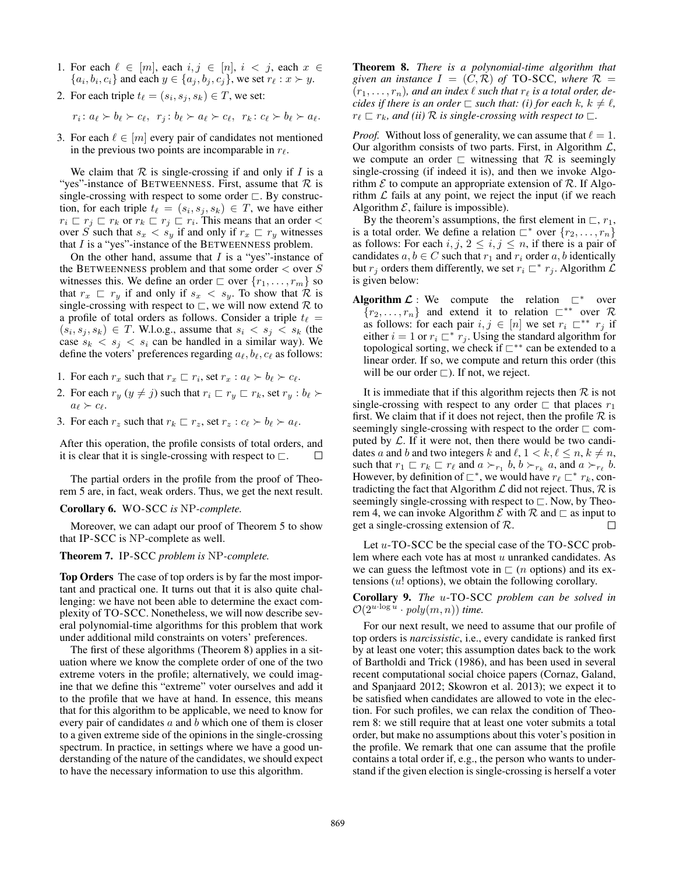- 1. For each  $\ell \in [m]$ , each  $i, j \in [n]$ ,  $i < j$ , each  $x \in$  $\{a_i, b_i, c_i\}$  and each  $y \in \{a_j, b_j, c_j\}$ , we set  $r_\ell : x \succ y$ .
- 2. For each triple  $t_\ell = (s_i, s_j, s_k) \in T$ , we set:

$$
r_i: a_{\ell} \succ b_{\ell} \succ c_{\ell}, r_j: b_{\ell} \succ a_{\ell} \succ c_{\ell}, r_k: c_{\ell} \succ b_{\ell} \succ a_{\ell}.
$$

3. For each  $\ell \in [m]$  every pair of candidates not mentioned in the previous two points are incomparable in  $r_{\ell}$ .

We claim that  $R$  is single-crossing if and only if  $I$  is a "yes"-instance of BETWEENNESS. First, assume that  $\mathcal R$  is single-crossing with respect to some order  $\sqsubset$ . By construction, for each triple  $t_\ell = (s_i, s_j, s_k) \in T$ , we have either  $r_i \nightharpoonup r_j \nightharpoonup r_k$  or  $r_k \nightharpoonup r_j \nightharpoonup r_i$ . This means that an order  $\lt$ over S such that  $s_x < s_y$  if and only if  $r_x \nightharpoondown r_y$  witnesses that  $I$  is a "yes"-instance of the BETWEENNESS problem.

On the other hand, assume that  $I$  is a "yes"-instance of the BETWEENNESS problem and that some order  $\lt$  over S witnesses this. We define an order  $\Box$  over  $\{r_1, \ldots, r_m\}$  so that  $r_x \rvert r_y$  if and only if  $s_x \rvert s_y$ . To show that  $\mathcal R$  is single-crossing with respect to  $\Box$ , we will now extend  $\mathcal R$  to a profile of total orders as follows. Consider a triple  $t_\ell =$  $(s_i, s_j, s_k) \in T$ . W.l.o.g., assume that  $s_i < s_j < s_k$  (the case  $s_k < s_j < s_i$  can be handled in a similar way). We define the voters' preferences regarding  $a_{\ell}, b_{\ell}, c_{\ell}$  as follows:

- 1. For each  $r_x$  such that  $r_x \sqsubset r_i$ , set  $r_x : a_\ell \succ b_\ell \succ c_\ell$ .
- 2. For each  $r_y$   $(y \neq j)$  such that  $r_i \sqsubset r_y \sqsubset r_k$ , set  $r_y : b_\ell \succ$  $a_{\ell} \succ c_{\ell}.$
- 3. For each  $r_z$  such that  $r_k \rvert r_z$ , set  $r_z : c_\ell \succ b_\ell \succ a_\ell$ .

After this operation, the profile consists of total orders, and it is clear that it is single-crossing with respect to  $\Box$ . П

The partial orders in the profile from the proof of Theorem 5 are, in fact, weak orders. Thus, we get the next result.

Corollary 6. WO-SCC *is* NP*-complete.*

Moreover, we can adapt our proof of Theorem 5 to show that IP-SCC is NP-complete as well.

#### Theorem 7. IP-SCC *problem is* NP*-complete.*

Top Orders The case of top orders is by far the most important and practical one. It turns out that it is also quite challenging: we have not been able to determine the exact complexity of TO-SCC. Nonetheless, we will now describe several polynomial-time algorithms for this problem that work under additional mild constraints on voters' preferences.

The first of these algorithms (Theorem 8) applies in a situation where we know the complete order of one of the two extreme voters in the profile; alternatively, we could imagine that we define this "extreme" voter ourselves and add it to the profile that we have at hand. In essence, this means that for this algorithm to be applicable, we need to know for every pair of candidates  $a$  and  $b$  which one of them is closer to a given extreme side of the opinions in the single-crossing spectrum. In practice, in settings where we have a good understanding of the nature of the candidates, we should expect to have the necessary information to use this algorithm.

Theorem 8. *There is a polynomial-time algorithm that given an instance*  $I = (C, R)$  *of* TO-SCC*, where*  $R =$  $(r_1, \ldots, r_n)$ , and an index  $\ell$  such that  $r_\ell$  is a total order, de*cides if there is an order*  $\sqsubset$  *such that: (i) for each*  $k, k \neq \ell$ ,  $r_\ell \sqsubset r_k$ *, and (ii)*  $\mathcal R$  *is single-crossing with respect to*  $\sqsubset$ *.* 

*Proof.* Without loss of generality, we can assume that  $\ell = 1$ . Our algorithm consists of two parts. First, in Algorithm  $\mathcal{L}$ , we compute an order  $\Box$  witnessing that  $\mathcal R$  is seemingly single-crossing (if indeed it is), and then we invoke Algorithm  $\mathcal E$  to compute an appropriate extension of  $\mathcal R$ . If Algorithm  $\mathcal L$  fails at any point, we reject the input (if we reach Algorithm  $\mathcal{E}$ , failure is impossible).

By the theorem's assumptions, the first element in  $\sqsubset$ ,  $r_1$ , is a total order. We define a relation  $\Gamma^*$  over  $\{r_2, \ldots, r_n\}$ as follows: For each  $i, j, 2 \leq i, j \leq n$ , if there is a pair of candidates  $a, b \in C$  such that  $r_1$  and  $r_i$  order  $a, b$  identically but  $r_j$  orders them differently, we set  $r_i \sqsubset^* r_j$ . Algorithm  $\mathcal L$ is given below:

Algorithm  $\mathcal{L}$ : We compute the relation  $\Gamma^*$  over  ${r_2, \ldots, r_n}$  and extend it to relation  $\Gamma^{**}$  over R as follows: for each pair  $i, j \in [n]$  we set  $r_i \subset \cdots \subset r_j$  if either  $i = 1$  or  $r_i \nightharpoonup^* r_j$ . Using the standard algorithm for topological sorting, we check if  $\sqsubset$ \*\* can be extended to a linear order. If so, we compute and return this order (this will be our order  $\Box$ ). If not, we reject.

It is immediate that if this algorithm rejects then  $R$  is not single-crossing with respect to any order  $\sqsubset$  that places  $r_1$ first. We claim that if it does not reject, then the profile  $\mathcal R$  is seemingly single-crossing with respect to the order  $\sqsubset$  computed by  $\mathcal{L}$ . If it were not, then there would be two candidates a and b and two integers k and  $\ell, 1 \leq k, \ell \leq n, k \neq n$ , such that  $r_1 \rvert r_k \rvert r_\ell$  and  $a \succ_{r_1} b, b \succ_{r_k} a$ , and  $a \succ_{r_\ell} b$ . However, by definition of  $\Box^*$ , we would have  $r_\ell \Box^* r_k$ , contradicting the fact that Algorithm  $\mathcal L$  did not reject. Thus,  $\mathcal R$  is seemingly single-crossing with respect to  $\sqsubset$ . Now, by Theorem 4, we can invoke Algorithm  $\mathcal E$  with  $\mathcal R$  and  $\sqsubset$  as input to get a single-crossing extension of  $\mathcal{R}$ . П

Let  $u$ -TO-SCC be the special case of the TO-SCC problem where each vote has at most u unranked candidates. As we can guess the leftmost vote in  $\Gamma$  (*n* options) and its extensions  $(u!$  options), we obtain the following corollary.

Corollary 9. *The* u-TO-SCC *problem can be solved in*  $\mathcal{O}(2^{u \cdot \log u} \cdot \mathit{poly}(m,n))$  time.

For our next result, we need to assume that our profile of top orders is *narcissistic*, i.e., every candidate is ranked first by at least one voter; this assumption dates back to the work of Bartholdi and Trick (1986), and has been used in several recent computational social choice papers (Cornaz, Galand, and Spanjaard 2012; Skowron et al. 2013); we expect it to be satisfied when candidates are allowed to vote in the election. For such profiles, we can relax the condition of Theorem 8: we still require that at least one voter submits a total order, but make no assumptions about this voter's position in the profile. We remark that one can assume that the profile contains a total order if, e.g., the person who wants to understand if the given election is single-crossing is herself a voter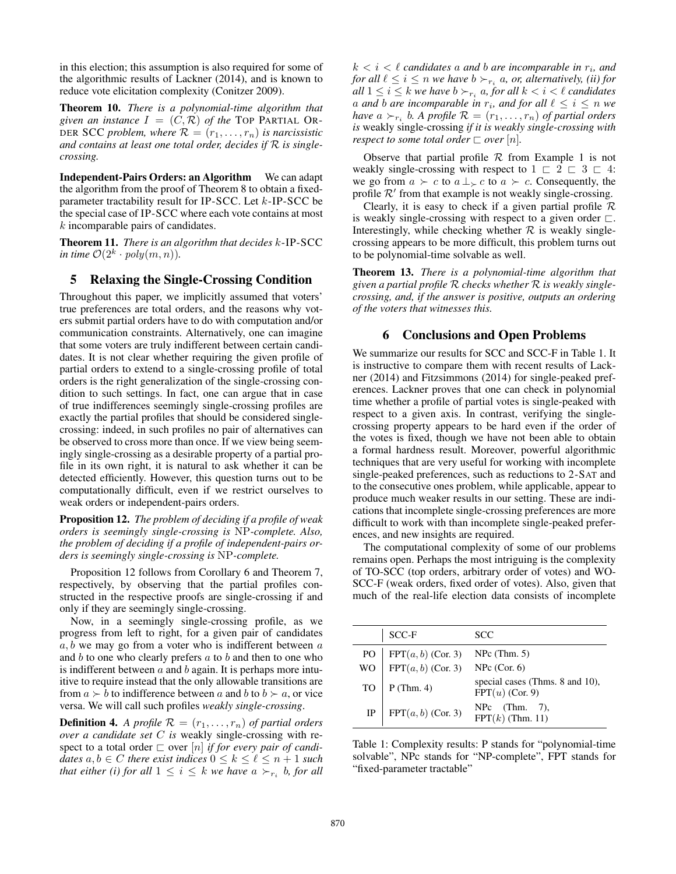in this election; this assumption is also required for some of the algorithmic results of Lackner (2014), and is known to reduce vote elicitation complexity (Conitzer 2009).

Theorem 10. *There is a polynomial-time algorithm that given an instance*  $I = (C, \mathcal{R})$  *of the* TOP PARTIAL OR-DER SCC *problem, where*  $\mathcal{R} = (r_1, \ldots, r_n)$  *is narcissistic and contains at least one total order, decides if* R *is singlecrossing.*

Independent-Pairs Orders: an Algorithm We can adapt the algorithm from the proof of Theorem 8 to obtain a fixedparameter tractability result for IP-SCC. Let k-IP-SCC be the special case of IP-SCC where each vote contains at most k incomparable pairs of candidates.

Theorem 11. *There is an algorithm that decides* k-IP-SCC *in time*  $\mathcal{O}(2^k \cdot poly(m, n)).$ 

## 5 Relaxing the Single-Crossing Condition

Throughout this paper, we implicitly assumed that voters' true preferences are total orders, and the reasons why voters submit partial orders have to do with computation and/or communication constraints. Alternatively, one can imagine that some voters are truly indifferent between certain candidates. It is not clear whether requiring the given profile of partial orders to extend to a single-crossing profile of total orders is the right generalization of the single-crossing condition to such settings. In fact, one can argue that in case of true indifferences seemingly single-crossing profiles are exactly the partial profiles that should be considered singlecrossing: indeed, in such profiles no pair of alternatives can be observed to cross more than once. If we view being seemingly single-crossing as a desirable property of a partial profile in its own right, it is natural to ask whether it can be detected efficiently. However, this question turns out to be computationally difficult, even if we restrict ourselves to weak orders or independent-pairs orders.

Proposition 12. *The problem of deciding if a profile of weak orders is seemingly single-crossing is* NP*-complete. Also, the problem of deciding if a profile of independent-pairs orders is seemingly single-crossing is* NP*-complete.*

Proposition 12 follows from Corollary 6 and Theorem 7, respectively, by observing that the partial profiles constructed in the respective proofs are single-crossing if and only if they are seemingly single-crossing.

Now, in a seemingly single-crossing profile, as we progress from left to right, for a given pair of candidates  $a, b$  we may go from a voter who is indifferent between  $a$ and  $b$  to one who clearly prefers  $a$  to  $b$  and then to one who is indifferent between  $a$  and  $b$  again. It is perhaps more intuitive to require instead that the only allowable transitions are from  $a \succ b$  to indifference between a and b to  $b \succ a$ , or vice versa. We will call such profiles *weakly single-crossing*.

**Definition 4.** *A profile*  $\mathcal{R} = (r_1, \ldots, r_n)$  *of partial orders over a candidate set* C *is* weakly single-crossing with respect to a total order  $\Box$  over  $[n]$  *if for every pair of candidates*  $a, b \in C$  *there exist indices*  $0 \leq k \leq \ell \leq n + 1$  *such that either (i) for all*  $1 \leq i \leq k$  *we have*  $a \succ_{r_i} b$ *, for all* 

 $k < i < \ell$  candidates a and b are incomparable in  $r_i$ , and *for all*  $\ell \leq i \leq n$  *we have*  $b \succ_{r_i} a$ *, or, alternatively, (ii) for all*  $1 \leq i \leq k$  *we have*  $b \succ_{r_i} a$ *, for all*  $k < i < \ell$  *candidates a* and *b* are incomparable in  $r_i$ , and for all  $\ell \leq i \leq n$  we *have*  $a \succ_{r_i} b$ . A profile  $\mathcal{R} = (r_1, \ldots, r_n)$  of partial orders *is* weakly single-crossing *if it is weakly single-crossing with respect to some total order*  $\Box$  *over*  $[n]$ *.* 

Observe that partial profile  $R$  from Example 1 is not weakly single-crossing with respect to  $1 \n\sqsubset 2 \n\sqsubset 3 \n\sqsubset 4$ : we go from  $a \succ c$  to  $a \perp_{\succ} c$  to  $a \succ c$ . Consequently, the profile  $\mathcal{R}'$  from that example is not weakly single-crossing.

Clearly, it is easy to check if a given partial profile  $\mathcal R$ is weakly single-crossing with respect to a given order  $\Box$ . Interestingly, while checking whether  $R$  is weakly singlecrossing appears to be more difficult, this problem turns out to be polynomial-time solvable as well.

Theorem 13. *There is a polynomial-time algorithm that given a partial profile* R *checks whether* R *is weakly singlecrossing, and, if the answer is positive, outputs an ordering of the voters that witnesses this.*

## 6 Conclusions and Open Problems

We summarize our results for SCC and SCC-F in Table 1. It is instructive to compare them with recent results of Lackner (2014) and Fitzsimmons (2014) for single-peaked preferences. Lackner proves that one can check in polynomial time whether a profile of partial votes is single-peaked with respect to a given axis. In contrast, verifying the singlecrossing property appears to be hard even if the order of the votes is fixed, though we have not been able to obtain a formal hardness result. Moreover, powerful algorithmic techniques that are very useful for working with incomplete single-peaked preferences, such as reductions to 2-SAT and to the consecutive ones problem, while applicable, appear to produce much weaker results in our setting. These are indications that incomplete single-crossing preferences are more difficult to work with than incomplete single-peaked preferences, and new insights are required.

The computational complexity of some of our problems remains open. Perhaps the most intriguing is the complexity of TO-SCC (top orders, arbitrary order of votes) and WO-SCC-F (weak orders, fixed order of votes). Also, given that much of the real-life election data consists of incomplete

|    | SCC-F                                                                              | <b>SCC</b>                                           |
|----|------------------------------------------------------------------------------------|------------------------------------------------------|
|    |                                                                                    |                                                      |
|    | PO   FPT $(a, b)$ (Cor. 3) NPc (Thm. 5)<br>WO   FPT $(a, b)$ (Cor. 3) NPc (Cor. 6) |                                                      |
| TO | $P$ (Thm. 4)                                                                       | special cases (Thms. 8 and 10),<br>$FPT(u)$ (Cor. 9) |
|    | IP   FPT $(a, b)$ (Cor. 3)                                                         | NPc $(Thm. 7)$ ,<br>$FPT(k)$ (Thm. 11)               |

Table 1: Complexity results: P stands for "polynomial-time solvable", NPc stands for "NP-complete", FPT stands for "fixed-parameter tractable"